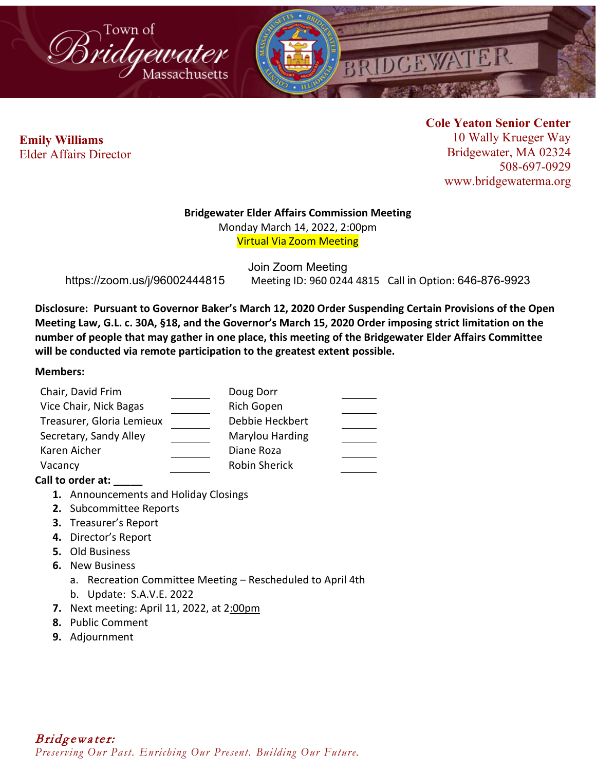



 **Emily Williams** Elder Affairs Director **Cole Yeaton Senior Center** 10 Wally Krueger Way Bridgewater, MA 02324 508-697-0929 www.bridgewaterma.org

### **Bridgewater Elder Affairs Commission Meeting**

Monday March 14, 2022, 2:00pm Virtual Via Zoom Meeting

Join Zoom Meeting https://zoom.us/j/96002444815 Meeting ID: 960 0244 4815 Call in Option: 646-876-9923

**Disclosure: Pursuant to Governor Baker's March 12, 2020 Order Suspending Certain Provisions of the Open Meeting Law, G.L. c. 30A, §18, and the Governor's March 15, 2020 Order imposing strict limitation on the number of people that may gather in one place, this meeting of the Bridgewater Elder Affairs Committee will be conducted via remote participation to the greatest extent possible.** 

### **Members:**

| Chair, David Frim         | Doug Dorr       |  |
|---------------------------|-----------------|--|
| Vice Chair, Nick Bagas    | Rich Gopen      |  |
| Treasurer, Gloria Lemieux | Debbie Heckbert |  |
| Secretary, Sandy Alley    | Marylou Harding |  |
| Karen Aicher              | Diane Roza      |  |
| Vacancy                   | Robin Sherick   |  |

# **Call to order at: \_\_\_\_\_**

- **1.** Announcements and Holiday Closings
- **2.** Subcommittee Reports
- **3.** Treasurer's Report
- **4.** Director's Report
- **5.** Old Business
- **6.** New Business
	- a. Recreation Committee Meeting Rescheduled to April 4th
	- b. Update: S.A.V.E. 2022
- **7.** Next meeting: April 11, 2022, at 2:00pm
- **8.** Public Comment
- **9.** Adjournment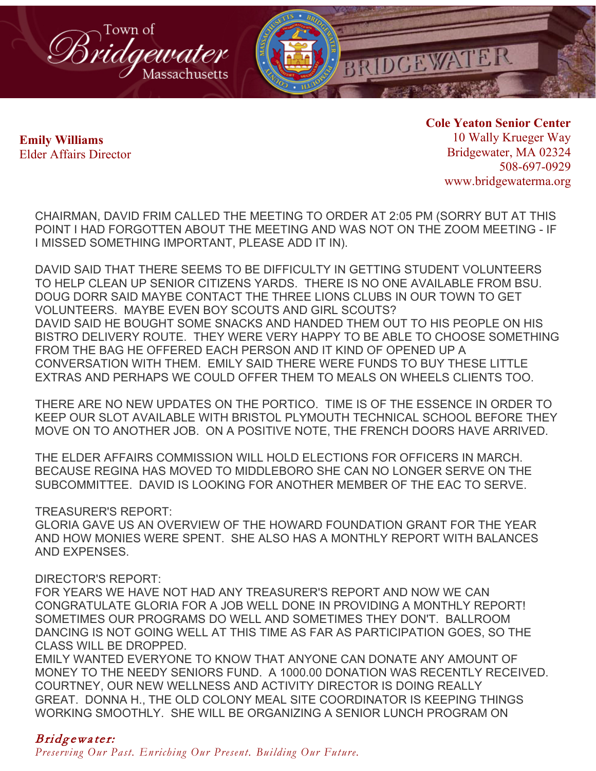

 **Emily Williams** Elder Affairs Director **Cole Yeaton Senior Center** 10 Wally Krueger Way Bridgewater, MA 02324 508-697-0929 www.bridgewaterma.org

CHAIRMAN, DAVID FRIM CALLED THE MEETING TO ORDER AT 2:05 PM (SORRY BUT AT THIS POINT I HAD FORGOTTEN ABOUT THE MEETING AND WAS NOT ON THE ZOOM MEETING - IF I MISSED SOMETHING IMPORTANT, PLEASE ADD IT IN).

DAVID SAID THAT THERE SEEMS TO BE DIFFICULTY IN GETTING STUDENT VOLUNTEERS TO HELP CLEAN UP SENIOR CITIZENS YARDS. THERE IS NO ONE AVAILABLE FROM BSU. DOUG DORR SAID MAYBE CONTACT THE THREE LIONS CLUBS IN OUR TOWN TO GET VOLUNTEERS. MAYBE EVEN BOY SCOUTS AND GIRL SCOUTS? DAVID SAID HE BOUGHT SOME SNACKS AND HANDED THEM OUT TO HIS PEOPLE ON HIS BISTRO DELIVERY ROUTE. THEY WERE VERY HAPPY TO BE ABLE TO CHOOSE SOMETHING FROM THE BAG HE OFFERED EACH PERSON AND IT KIND OF OPENED UP A CONVERSATION WITH THEM. EMILY SAID THERE WERE FUNDS TO BUY THESE LITTLE EXTRAS AND PERHAPS WE COULD OFFER THEM TO MEALS ON WHEELS CLIENTS TOO.

THERE ARE NO NEW UPDATES ON THE PORTICO. TIME IS OF THE ESSENCE IN ORDER TO KEEP OUR SLOT AVAILABLE WITH BRISTOL PLYMOUTH TECHNICAL SCHOOL BEFORE THEY MOVE ON TO ANOTHER JOB. ON A POSITIVE NOTE, THE FRENCH DOORS HAVE ARRIVED.

THE ELDER AFFAIRS COMMISSION WILL HOLD ELECTIONS FOR OFFICERS IN MARCH. BECAUSE REGINA HAS MOVED TO MIDDLEBORO SHE CAN NO LONGER SERVE ON THE SUBCOMMITTEE. DAVID IS LOOKING FOR ANOTHER MEMBER OF THE EAC TO SERVE.

TREASURER'S REPORT:

GLORIA GAVE US AN OVERVIEW OF THE HOWARD FOUNDATION GRANT FOR THE YEAR AND HOW MONIES WERE SPENT. SHE ALSO HAS A MONTHLY REPORT WITH BALANCES AND EXPENSES.

# DIRECTOR'S REPORT:

FOR YEARS WE HAVE NOT HAD ANY TREASURER'S REPORT AND NOW WE CAN CONGRATULATE GLORIA FOR A JOB WELL DONE IN PROVIDING A MONTHLY REPORT! SOMETIMES OUR PROGRAMS DO WELL AND SOMETIMES THEY DON'T. BALLROOM DANCING IS NOT GOING WELL AT THIS TIME AS FAR AS PARTICIPATION GOES, SO THE CLASS WILL BE DROPPED.

EMILY WANTED EVERYONE TO KNOW THAT ANYONE CAN DONATE ANY AMOUNT OF MONEY TO THE NEEDY SENIORS FUND. A 1000.00 DONATION WAS RECENTLY RECEIVED. COURTNEY, OUR NEW WELLNESS AND ACTIVITY DIRECTOR IS DOING REALLY GREAT. DONNA H., THE OLD COLONY MEAL SITE COORDINATOR IS KEEPING THINGS WORKING SMOOTHLY. SHE WILL BE ORGANIZING A SENIOR LUNCH PROGRAM ON

# Bridgewater:

*Preserving Our Past. Enriching Our Present. Building Our Future.*